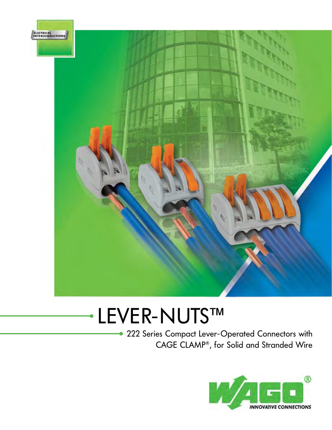

# LEVER-NUTS™

 222 Series Compact Lever-Operated Connectors with CAGE CLAMP®, for Solid and Stranded Wire

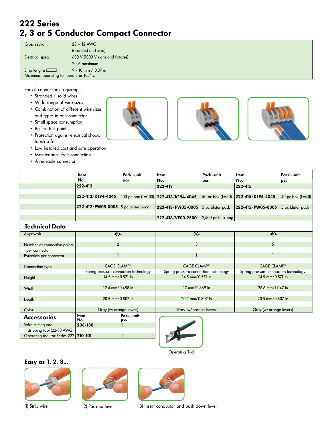## **222 Series 2, 3 or 5 Conductor Compact Connector**

| Cross section:                        | $28 - 12$ AWG                     |  |
|---------------------------------------|-----------------------------------|--|
|                                       | (stranded and solid)              |  |
| Electrical specs:                     | 600 V (1000 V signs and fixtures) |  |
|                                       | 20 A maximum                      |  |
| Strip length: $\sqrt{ }$              | $9 - 10$ mm / 0.37 in             |  |
| Maximum operating temperature: 105° C |                                   |  |

For all connections requiring...

- Stranded / solid wires
- Wide range of wire sizes
- Combination of different wire sizes and types in one connector
- Small space consumption
- Built-in test point
- Protection against electrical shock, touch safe
- Low installed cost and safe operation
- Maintenance-free connection
- A reusable connector







|                               | Item<br>No.                           | Pack.-unit        | <b>Item</b>                            | Pack.-unit        | ltem                                  | Pack.-unit         |  |
|-------------------------------|---------------------------------------|-------------------|----------------------------------------|-------------------|---------------------------------------|--------------------|--|
|                               | 222-412                               | pcs               | No.                                    | pcs               | No.<br>222-415                        | pcs                |  |
|                               |                                       |                   | 222-413                                |                   |                                       |                    |  |
|                               | 222-412/K194-4045                     |                   | 100 pc box $(1=100)$ 222-413/K194-4045 | 50 pc box (1=50)  | 222-415/K194-4045                     | 40 pc box $(1=40)$ |  |
|                               |                                       |                   |                                        |                   |                                       |                    |  |
|                               | 222-412/PW05-0005 5 pc blister pack   |                   | 222-413/PW05-0005 5 pc blister pack    |                   | 222-415/PW05-0005                     | 5 pc blister pack  |  |
|                               |                                       |                   |                                        |                   |                                       |                    |  |
|                               |                                       |                   | 222-413/VE00-2500                      | 2,500 pc bulk bag |                                       |                    |  |
| <b>Technical Data</b>         |                                       |                   |                                        |                   |                                       |                    |  |
| Approvals                     | $\overline{\mathfrak{c}(0)}$ us       |                   | $\overline{\mathfrak{c}(U)}$ us        |                   | $\overline{\mathfrak{c}(U)}$ us       |                    |  |
|                               |                                       |                   |                                        |                   |                                       |                    |  |
| Number of connection points   | $\overline{2}$                        |                   | 3                                      |                   | 5                                     |                    |  |
| per connector                 |                                       |                   |                                        |                   | $\mathbf{1}$                          |                    |  |
| Potentials per connector      | $\mathbf{1}$                          |                   | $\mathbf{1}$                           |                   |                                       |                    |  |
| Connection type               | <b>CAGE CLAMP®</b>                    |                   | <b>CAGE CLAMP®</b>                     |                   | <b>CAGE CLAMP®</b>                    |                    |  |
|                               | Spring pressure connection technology |                   | Spring pressure connection technology  |                   | Spring pressure connection technology |                    |  |
| Height                        | 14.5 mm/0.571 in                      |                   | 14.5 mm/0.571 in                       |                   | 14.5 mm/0.571 in                      |                    |  |
|                               |                                       |                   |                                        |                   |                                       |                    |  |
| Width                         | 12.4 mm/0.488 in                      |                   | 17 mm/0.669 in                         |                   | 26.6 mm/1.047 in                      |                    |  |
|                               |                                       |                   |                                        |                   |                                       |                    |  |
| Depth                         | 20.5 mm/0.807 in                      |                   | 20.5 mm/0.807 in                       |                   | 20.5 mm/0.807 in                      |                    |  |
|                               | Gray (w/orange levers)                |                   |                                        |                   |                                       |                    |  |
| Color                         |                                       |                   | Gray (w/orange levers)                 |                   | Gray (w/orange levers)                |                    |  |
| <b>Accessories</b>            | Item<br>No.                           | Pack.-unit<br>pcs |                                        |                   |                                       |                    |  |
| Wire cutting and              | 206-130                               |                   |                                        |                   |                                       |                    |  |
| stripping tool (22-10 AWG)    |                                       |                   |                                        |                   |                                       |                    |  |
| Operating tool for Series 222 | 210-101                               |                   |                                        |                   |                                       |                    |  |



Operating Tool

#### **Easy as 1, 2, 3...**







1) Strip wire 2) Push up lever 3) Insert conductor and push down lever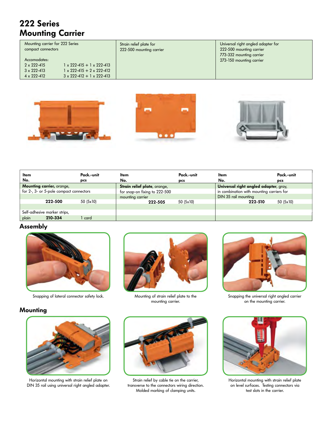# **222 Series Mounting Carrier**

| Mounting carrier for 222 Series<br>compact connectors                                |                                                                                                                                     |  |
|--------------------------------------------------------------------------------------|-------------------------------------------------------------------------------------------------------------------------------------|--|
| Accomodates:<br>$2 \times 222 - 415$<br>$3 \times 222 - 413$<br>$4 \times 222 - 412$ | $1 \times 222 - 415 + 1 \times 222 - 413$<br>$1 \times 222 - 415 + 2 \times 222 - 412$<br>$3 \times 222 - 412 + 1 \times 222 - 413$ |  |

Strain relief plate for 222-500 mounting carrier Universal right angled adapter for 222-500 mounting carrier 773-332 mounting carrier 273-150 mounting carrier





| ltem                         |                                         | Pack.-unit | Item                          | Pack.-unit | ltem                                      | Pack.-unit |
|------------------------------|-----------------------------------------|------------|-------------------------------|------------|-------------------------------------------|------------|
| No.                          |                                         | pcs        | No.                           | pcs        | No.                                       | pcs        |
|                              | Mounting carrier, orange,               |            | Strain relief plate, orange,  |            | Universal right angled adapter, gray,     |            |
|                              | for 2-, 3- or 5-pole compact connectors |            | for snap-on fixing to 222-500 |            | in combination with mounting carriers for |            |
|                              |                                         |            | mounting carrier              |            | DIN 35 rail mounting                      |            |
|                              | 222-500                                 | 50(5x10)   | 222-505                       | 50(5x10)   | 222-510                                   | 50(5x10)   |
|                              |                                         |            |                               |            |                                           |            |
| Self-adhesive marker strips, |                                         |            |                               |            |                                           |            |
| plain                        | 210-334                                 | card       |                               |            |                                           |            |

### **Assembly**



Snapping of lateral connector safety lock. Mounting of strain relief plate to the



mounting carrier.



Snapping the universal right angled carrier on the mounting carrier.

## **Mounting**



Horizontal mounting with strain relief plate on DIN 35 rail using universal right angled adapter.



Strain relief by cable tie on the carrier, transverse to the connectors wiring direction. Molded marking of clamping units.



Horizontal mounting with strain relief plate on level surfaces. Testing connectors via test slots in the carrier.